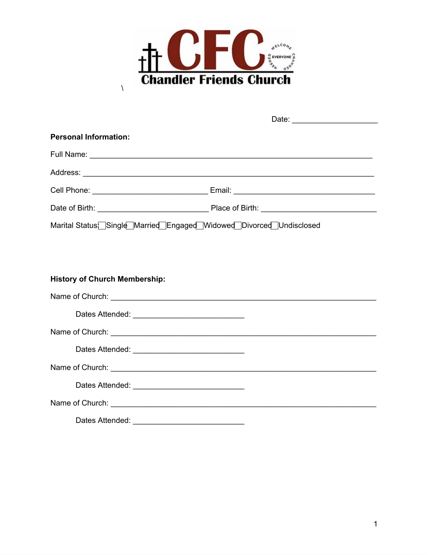

 $\bar{\sqrt{2}}$ 

| <b>Personal Information:</b>                                       |  |
|--------------------------------------------------------------------|--|
|                                                                    |  |
|                                                                    |  |
|                                                                    |  |
|                                                                    |  |
| Marital Status Single Married Engaged Widowed Divorced Undisclosed |  |
|                                                                    |  |
|                                                                    |  |
| <b>History of Church Membership:</b>                               |  |
|                                                                    |  |
|                                                                    |  |
|                                                                    |  |
|                                                                    |  |
|                                                                    |  |
|                                                                    |  |
| Name of Church: Name of Church:                                    |  |
| Dates Attended:                                                    |  |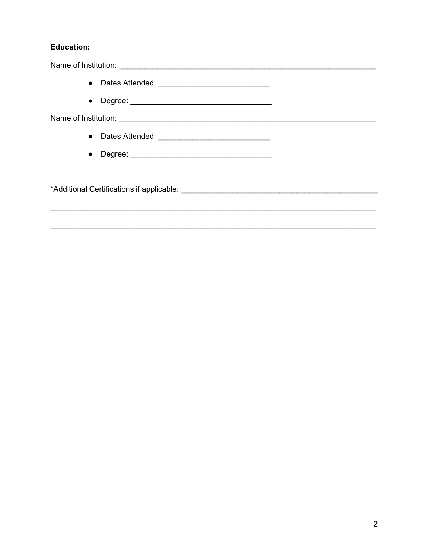## **Education:**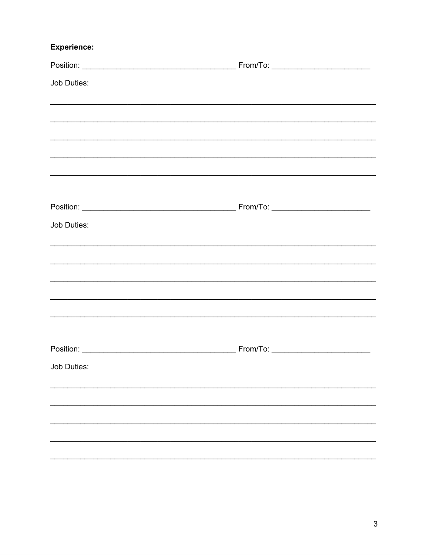## **Experience:**

| Job Duties:                                                                       |  |
|-----------------------------------------------------------------------------------|--|
|                                                                                   |  |
|                                                                                   |  |
|                                                                                   |  |
|                                                                                   |  |
|                                                                                   |  |
|                                                                                   |  |
| Job Duties:                                                                       |  |
|                                                                                   |  |
|                                                                                   |  |
|                                                                                   |  |
| ,我们也不能在这里的人,我们也不能在这里的人,我们也不能在这里的人,我们也不能在这里的人,我们也不能在这里的人,我们也不能在这里的人,我们也不能在这里的人,我们也 |  |
|                                                                                   |  |
|                                                                                   |  |
| Job Duties:                                                                       |  |
|                                                                                   |  |
|                                                                                   |  |
|                                                                                   |  |
|                                                                                   |  |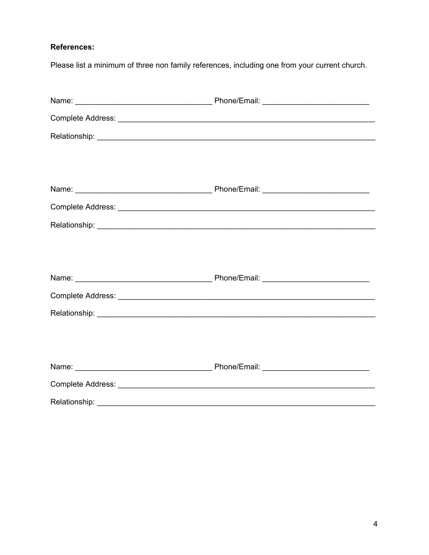### **References:**

Please list a minimum of three non family references, including one from your current church.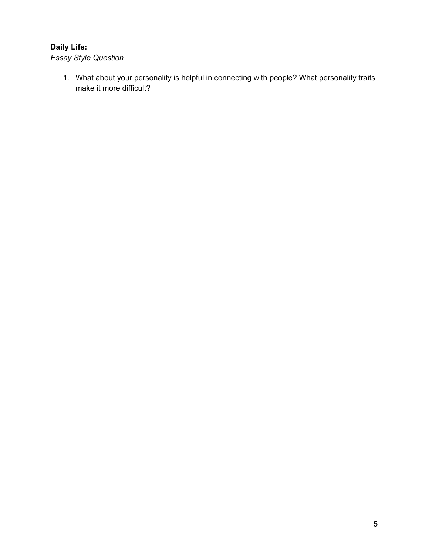## **Daily Life:**

*Essay Style Question*

1. What about your personality is helpful in connecting with people? What personality traits make it more difficult?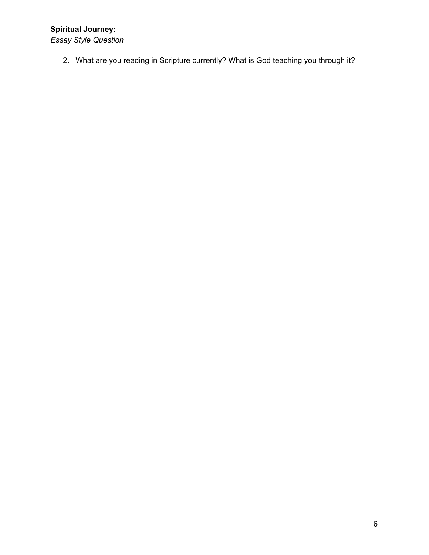# **Spiritual Journey:**

*Essay Style Question*

2. What are you reading in Scripture currently? What is God teaching you through it?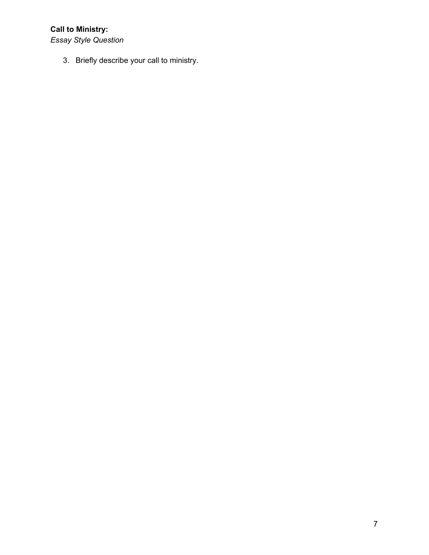# **Call to Ministry:**

*Essay Style Question*

3. Briefly describe your call to ministry.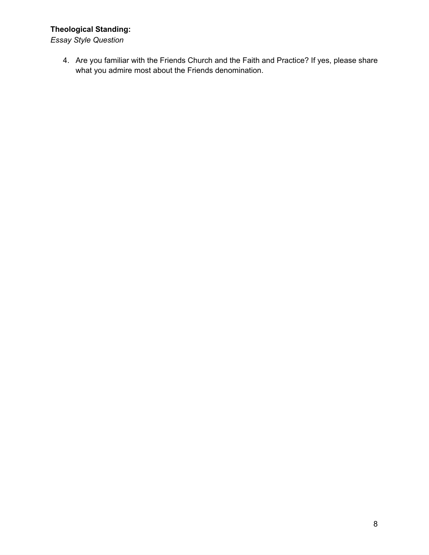## **Theological Standing:**

*Essay Style Question*

4. Are you familiar with the Friends Church and the Faith and Practice? If yes, please share what you admire most about the Friends denomination.